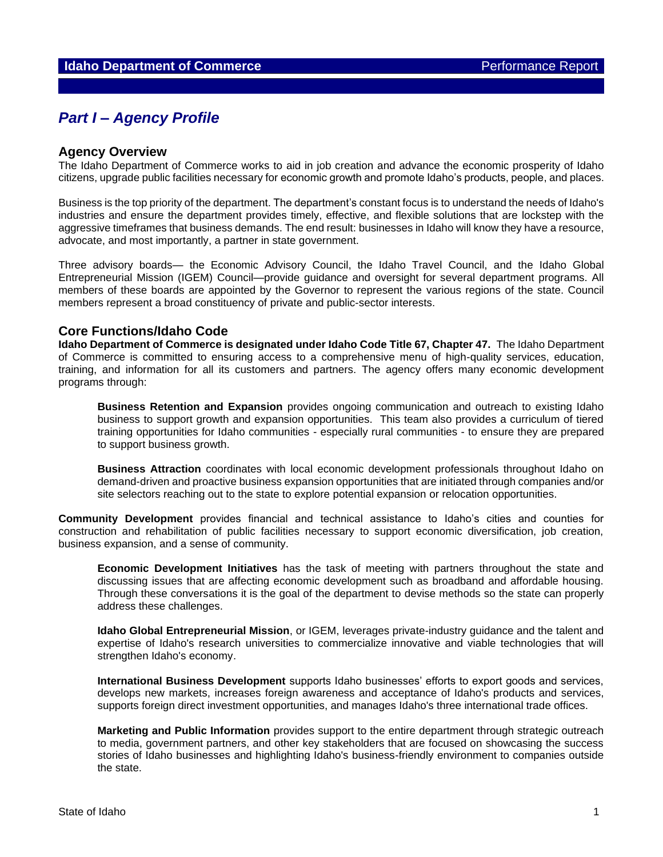# *Part I – Agency Profile*

#### **Agency Overview**

The Idaho Department of Commerce works to aid in job creation and advance the economic prosperity of Idaho citizens, upgrade public facilities necessary for economic growth and promote Idaho's products, people, and places.

Business is the top priority of the department. The department's constant focus is to understand the needs of Idaho's industries and ensure the department provides timely, effective, and flexible solutions that are lockstep with the aggressive timeframes that business demands. The end result: businesses in Idaho will know they have a resource, advocate, and most importantly, a partner in state government.

Three advisory boards— the Economic Advisory Council, the Idaho Travel Council, and the Idaho Global Entrepreneurial Mission (IGEM) Council—provide guidance and oversight for several department programs. All members of these boards are appointed by the Governor to represent the various regions of the state. Council members represent a broad constituency of private and public-sector interests.

### **Core Functions/Idaho Code**

**Idaho Department of Commerce is designated under Idaho Code Title 67, Chapter 47.** The Idaho Department of Commerce is committed to ensuring access to a comprehensive menu of high-quality services, education, training, and information for all its customers and partners. The agency offers many economic development programs through:

**Business Retention and Expansion** provides ongoing communication and outreach to existing Idaho business to support growth and expansion opportunities. This team also provides a curriculum of tiered training opportunities for Idaho communities - especially rural communities - to ensure they are prepared to support business growth.

**Business Attraction** coordinates with local economic development professionals throughout Idaho on demand-driven and proactive business expansion opportunities that are initiated through companies and/or site selectors reaching out to the state to explore potential expansion or relocation opportunities.

**Community Development** provides financial and technical assistance to Idaho's cities and counties for construction and rehabilitation of public facilities necessary to support economic diversification, job creation, business expansion, and a sense of community.

**Economic Development Initiatives** has the task of meeting with partners throughout the state and discussing issues that are affecting economic development such as broadband and affordable housing. Through these conversations it is the goal of the department to devise methods so the state can properly address these challenges.

**Idaho Global Entrepreneurial Mission**, or IGEM, leverages private-industry guidance and the talent and expertise of Idaho's research universities to commercialize innovative and viable technologies that will strengthen Idaho's economy.

**International Business Development** supports Idaho businesses' efforts to export goods and services, develops new markets, increases foreign awareness and acceptance of Idaho's products and services, supports foreign direct investment opportunities, and manages Idaho's three international trade offices.

**Marketing and Public Information** provides support to the entire department through strategic outreach to media, government partners, and other key stakeholders that are focused on showcasing the success stories of Idaho businesses and highlighting Idaho's business-friendly environment to companies outside the state.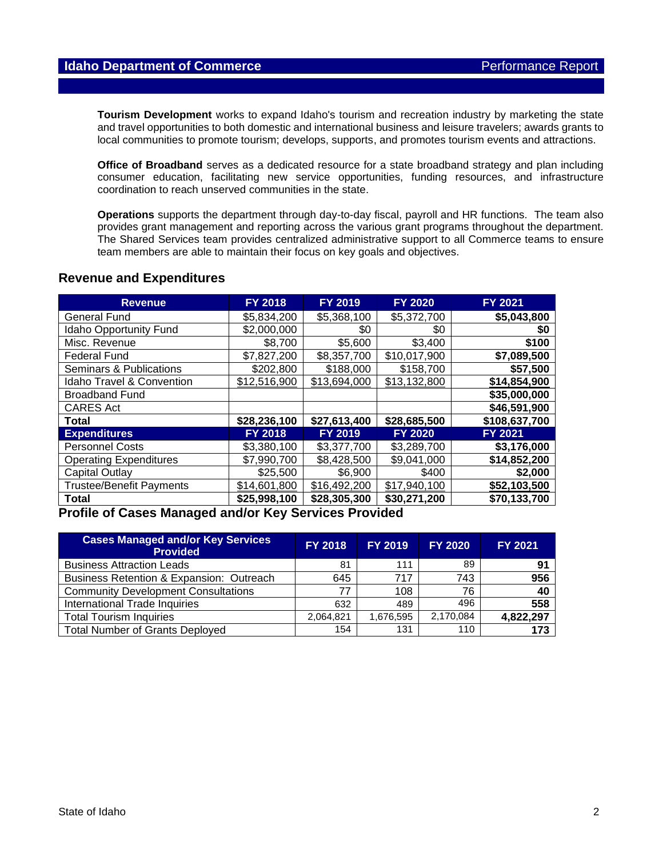**Tourism Development** works to expand Idaho's tourism and recreation industry by marketing the state and travel opportunities to both domestic and international business and leisure travelers; awards grants to local communities to promote tourism; develops, supports, and promotes tourism events and attractions.

**Office of Broadband** serves as a dedicated resource for a state broadband strategy and plan including consumer education, facilitating new service opportunities, funding resources, and infrastructure coordination to reach unserved communities in the state.

**Operations** supports the department through day-to-day fiscal, payroll and HR functions. The team also provides grant management and reporting across the various grant programs throughout the department. The Shared Services team provides centralized administrative support to all Commerce teams to ensure team members are able to maintain their focus on key goals and objectives.

#### **Revenue and Expenditures**

| <b>Revenue</b>                       | <b>FY 2018</b> | <b>FY 2019</b> | <b>FY 2020</b> | <b>FY 2021</b> |
|--------------------------------------|----------------|----------------|----------------|----------------|
| General Fund                         | \$5,834,200    | \$5,368,100    | \$5,372,700    | \$5,043,800    |
| <b>Idaho Opportunity Fund</b>        | \$2,000,000    | \$0            | \$0            | \$0            |
| Misc. Revenue                        | \$8,700        | \$5,600        | \$3,400        | \$100          |
| <b>Federal Fund</b>                  | \$7,827,200    | \$8,357,700    | \$10,017,900   | \$7,089,500    |
| Seminars & Publications              | \$202,800      | \$188,000      | \$158,700      | \$57,500       |
| <b>Idaho Travel &amp; Convention</b> | \$12,516,900   | \$13,694,000   | \$13,132,800   | \$14,854,900   |
| <b>Broadband Fund</b>                |                |                |                | \$35,000,000   |
| <b>CARES Act</b>                     |                |                |                | \$46,591,900   |
| <b>Total</b>                         | \$28,236,100   | \$27,613,400   | \$28,685,500   | \$108,637,700  |
| <b>Expenditures</b>                  | <b>FY 2018</b> | <b>FY 2019</b> | <b>FY 2020</b> | <b>FY 2021</b> |
| <b>Personnel Costs</b>               | \$3,380,100    | \$3.377.700    | \$3,289,700    | \$3,176,000    |
| <b>Operating Expenditures</b>        | \$7,990,700    | \$8,428,500    | \$9,041,000    | \$14,852,200   |
| Capital Outlay                       | \$25,500       | \$6,900        | \$400          | \$2,000        |
| <b>Trustee/Benefit Payments</b>      | \$14,601,800   | \$16,492,200   | \$17,940,100   | \$52,103,500   |
| <b>Total</b>                         | \$25,998,100   | \$28,305,300   | \$30,271,200   | \$70,133,700   |

## **Profile of Cases Managed and/or Key Services Provided**

| <b>Cases Managed and/or Key Services</b><br><b>Provided</b> | <b>FY 2018</b> | <b>FY 2019</b> | <b>FY 2020</b> | <b>FY 2021</b> |
|-------------------------------------------------------------|----------------|----------------|----------------|----------------|
| <b>Business Attraction Leads</b>                            | 81             | 111            | 89             | 91             |
| Business Retention & Expansion: Outreach                    | 645            | 717            | 743            | 956            |
| <b>Community Development Consultations</b>                  | 77             | 108            | 76             | 40             |
| International Trade Inquiries                               | 632            | 489            | 496            | 558            |
| <b>Total Tourism Inquiries</b>                              | 2,064,821      | 1,676,595      | 2,170,084      | 4,822,297      |
| <b>Total Number of Grants Deployed</b>                      | 154            | 131            | 110            | 173            |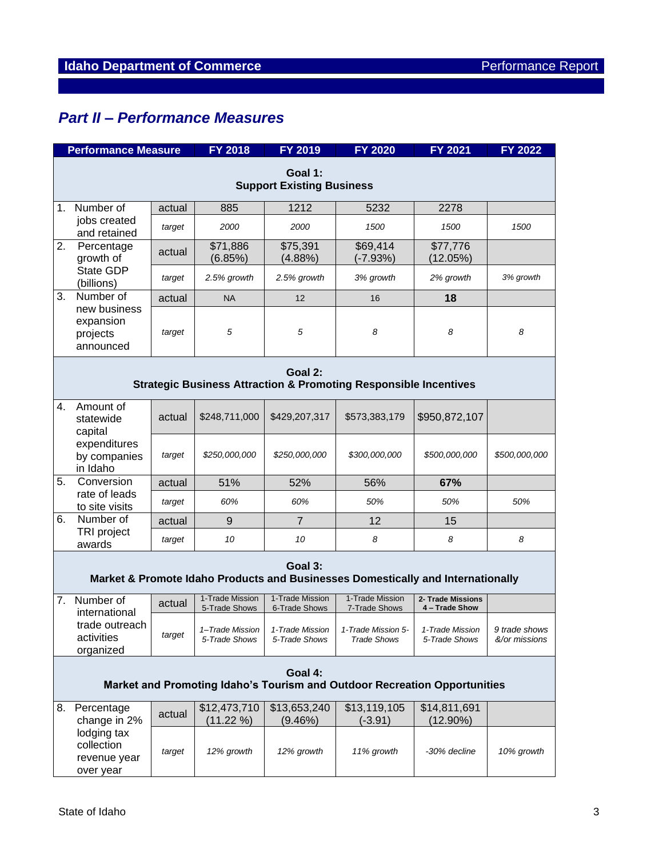# *Part II – Performance Measures*

|                                                                                            | <b>Performance Measure</b>                                                             |        | <b>FY 2018</b>                   | FY 2019                          | <b>FY 2020</b>                                             | FY 2021                             | FY 2022                        |  |
|--------------------------------------------------------------------------------------------|----------------------------------------------------------------------------------------|--------|----------------------------------|----------------------------------|------------------------------------------------------------|-------------------------------------|--------------------------------|--|
| Goal 1:<br><b>Support Existing Business</b>                                                |                                                                                        |        |                                  |                                  |                                                            |                                     |                                |  |
|                                                                                            | 1. Number of                                                                           | actual | 885                              | 1212                             | 5232                                                       | 2278                                |                                |  |
|                                                                                            | jobs created<br>and retained                                                           | target | 2000                             | 2000                             | 1500                                                       | 1500                                | 1500                           |  |
| 2.                                                                                         | Percentage<br>growth of<br>State GDP<br>(billions)                                     | actual | \$71,886<br>(6.85%)              | \$75,391<br>$(4.88\%)$           | \$69,414<br>$(-7.93%)$                                     | \$77,776<br>(12.05%)                |                                |  |
|                                                                                            |                                                                                        | target | 2.5% growth                      | 2.5% growth                      | 3% growth                                                  | 2% growth                           | 3% growth                      |  |
| 3.                                                                                         | Number of                                                                              | actual | <b>NA</b>                        | 12                               | 16                                                         | 18                                  |                                |  |
|                                                                                            | new business<br>expansion<br>projects<br>announced                                     | target | 5                                | 5                                | 8                                                          | 8                                   | 8                              |  |
|                                                                                            | Goal 2:<br><b>Strategic Business Attraction &amp; Promoting Responsible Incentives</b> |        |                                  |                                  |                                                            |                                     |                                |  |
| 4.                                                                                         | Amount of<br>statewide<br>capital                                                      | actual | \$248,711,000                    | \$429,207,317                    | \$573,383,179                                              | \$950,872,107                       |                                |  |
|                                                                                            | expenditures<br>by companies<br>in Idaho                                               | target | \$250,000,000                    | \$250,000,000                    | \$300,000,000                                              | \$500,000,000                       | \$500,000,000                  |  |
| 5.                                                                                         | Conversion                                                                             | actual | 51%                              | 52%                              | 56%                                                        | 67%                                 |                                |  |
|                                                                                            | rate of leads<br>to site visits                                                        | target | 60%                              | 60%                              | 50%                                                        | 50%                                 | 50%                            |  |
| 6.                                                                                         | Number of                                                                              | actual | 9                                | $\overline{7}$                   | 12                                                         | 15                                  |                                |  |
|                                                                                            | TRI project<br>awards                                                                  | target | 10                               | 10                               | 8                                                          | 8                                   | 8                              |  |
| Goal 3:<br>Market & Promote Idaho Products and Businesses Domestically and Internationally |                                                                                        |        |                                  |                                  |                                                            |                                     |                                |  |
| 7.                                                                                         | Number of<br>international                                                             | actual | 1-Trade Mission<br>5-Trade Shows | 1-Trade Mission<br>6-Trade Shows | 1-Trade Mission<br>7-Trade Shows                           | 2- Trade Missions<br>4 - Trade Show |                                |  |
|                                                                                            | trade outreach<br>activities<br>organized                                              | target | 1-Trade Mission<br>5-Trade Shows | 5-Trade Shows                    | 1-Trade Mission   1-Trade Mission 5-<br><b>Trade Shows</b> | 1-Trade Mission<br>5-Trade Shows    | 9 trade shows<br>&/or missions |  |
| Goal 4:<br>Market and Promoting Idaho's Tourism and Outdoor Recreation Opportunities       |                                                                                        |        |                                  |                                  |                                                            |                                     |                                |  |
| 8.                                                                                         | Percentage<br>change in 2%                                                             | actual | \$12,473,710<br>(11.22 %)        | \$13,653,240<br>(9.46%)          | \$13,119,105<br>$(-3.91)$                                  | \$14,811,691<br>$(12.90\%)$         |                                |  |
|                                                                                            | lodging tax<br>collection<br>revenue year<br>over year                                 | target | 12% growth                       | 12% growth                       | 11% growth                                                 | -30% decline                        | 10% growth                     |  |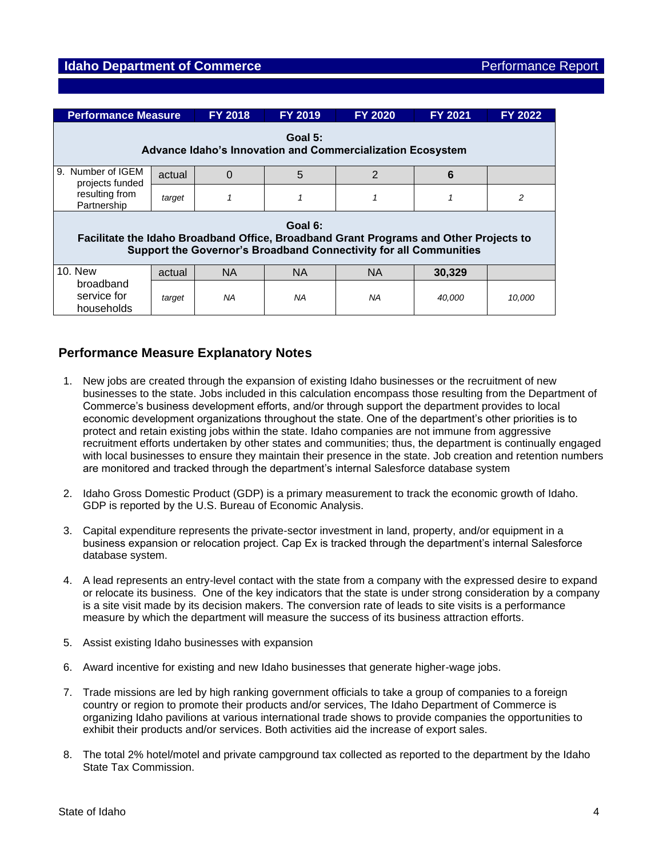| <b>Performance Measure</b>                                                                                                                                            |        | <b>FY 2018</b> | <b>FY 2019</b> | <b>FY 2020</b> | <b>FY 2021</b> | <b>FY 2022</b> |  |  |
|-----------------------------------------------------------------------------------------------------------------------------------------------------------------------|--------|----------------|----------------|----------------|----------------|----------------|--|--|
| Goal 5:<br>Advance Idaho's Innovation and Commercialization Ecosystem                                                                                                 |        |                |                |                |                |                |  |  |
| Number of IGEM<br>9.<br>projects funded<br>resulting from<br>Partnership                                                                                              | actual | $\Omega$       | 5              | 2              | 6              |                |  |  |
|                                                                                                                                                                       | target | 1              |                |                |                | 2              |  |  |
| Goal 6:<br>Facilitate the Idaho Broadband Office, Broadband Grant Programs and Other Projects to<br>Support the Governor's Broadband Connectivity for all Communities |        |                |                |                |                |                |  |  |
| <b>10. New</b>                                                                                                                                                        | actual | <b>NA</b>      | <b>NA</b>      | <b>NA</b>      | 30.329         |                |  |  |
| broadband<br>service for<br>households                                                                                                                                | target | ΝA             | NA             | NA             | 40,000         | 10,000         |  |  |

# **Performance Measure Explanatory Notes**

- 1. New jobs are created through the expansion of existing Idaho businesses or the recruitment of new businesses to the state. Jobs included in this calculation encompass those resulting from the Department of Commerce's business development efforts, and/or through support the department provides to local economic development organizations throughout the state. One of the department's other priorities is to protect and retain existing jobs within the state. Idaho companies are not immune from aggressive recruitment efforts undertaken by other states and communities; thus, the department is continually engaged with local businesses to ensure they maintain their presence in the state. Job creation and retention numbers are monitored and tracked through the department's internal Salesforce database system
- 2. Idaho Gross Domestic Product (GDP) is a primary measurement to track the economic growth of Idaho. GDP is reported by the U.S. Bureau of Economic Analysis.
- 3. Capital expenditure represents the private-sector investment in land, property, and/or equipment in a business expansion or relocation project. Cap Ex is tracked through the department's internal Salesforce database system.
- 4. A lead represents an entry-level contact with the state from a company with the expressed desire to expand or relocate its business. One of the key indicators that the state is under strong consideration by a company is a site visit made by its decision makers. The conversion rate of leads to site visits is a performance measure by which the department will measure the success of its business attraction efforts.
- 5. Assist existing Idaho businesses with expansion
- 6. Award incentive for existing and new Idaho businesses that generate higher-wage jobs.
- 7. Trade missions are led by high ranking government officials to take a group of companies to a foreign country or region to promote their products and/or services, The Idaho Department of Commerce is organizing Idaho pavilions at various international trade shows to provide companies the opportunities to exhibit their products and/or services. Both activities aid the increase of export sales.
- 8. The total 2% hotel/motel and private campground tax collected as reported to the department by the Idaho State Tax Commission.